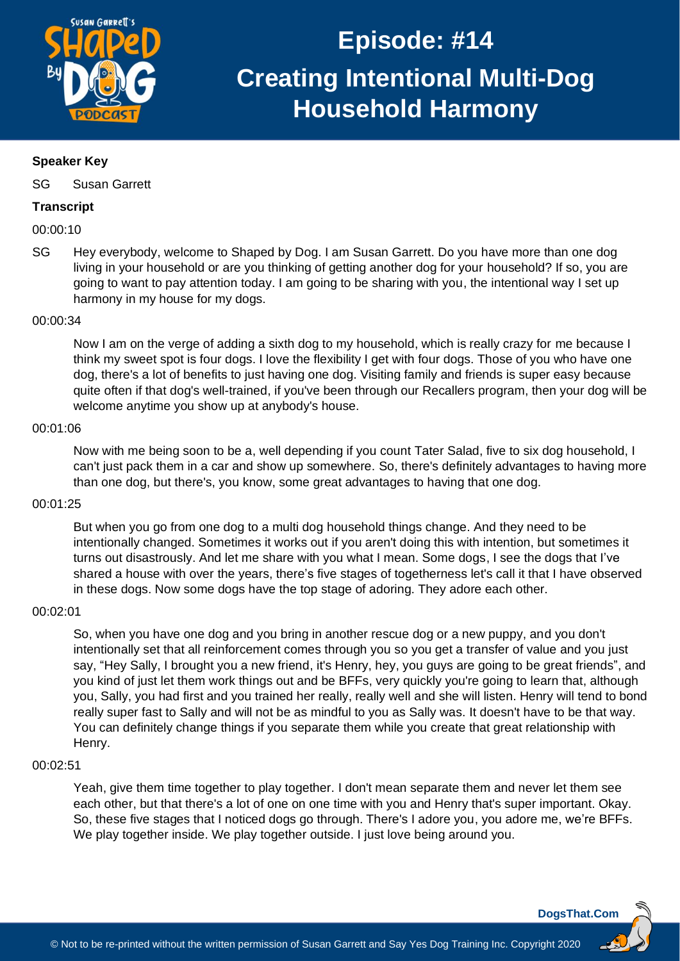

# **Speaker Key**

SG Susan Garrett

## **Transcript**

00:00:10

SG Hey everybody, welcome to Shaped by Dog. I am Susan Garrett. Do you have more than one dog living in your household or are you thinking of getting another dog for your household? If so, you are going to want to pay attention today. I am going to be sharing with you, the intentional way I set up harmony in my house for my dogs.

### 00:00:34

Now I am on the verge of adding a sixth dog to my household, which is really crazy for me because I think my sweet spot is four dogs. I love the flexibility I get with four dogs. Those of you who have one dog, there's a lot of benefits to just having one dog. Visiting family and friends is super easy because quite often if that dog's well-trained, if you've been through our Recallers program, then your dog will be welcome anytime you show up at anybody's house.

#### 00:01:06

Now with me being soon to be a, well depending if you count Tater Salad, five to six dog household, I can't just pack them in a car and show up somewhere. So, there's definitely advantages to having more than one dog, but there's, you know, some great advantages to having that one dog.

#### 00:01:25

But when you go from one dog to a multi dog household things change. And they need to be intentionally changed. Sometimes it works out if you aren't doing this with intention, but sometimes it turns out disastrously. And let me share with you what I mean. Some dogs, I see the dogs that I've shared a house with over the years, there's five stages of togetherness let's call it that I have observed in these dogs. Now some dogs have the top stage of adoring. They adore each other.

#### 00:02:01

So, when you have one dog and you bring in another rescue dog or a new puppy, and you don't intentionally set that all reinforcement comes through you so you get a transfer of value and you just say, "Hey Sally, I brought you a new friend, it's Henry, hey, you guys are going to be great friends", and you kind of just let them work things out and be BFFs, very quickly you're going to learn that, although you, Sally, you had first and you trained her really, really well and she will listen. Henry will tend to bond really super fast to Sally and will not be as mindful to you as Sally was. It doesn't have to be that way. You can definitely change things if you separate them while you create that great relationship with Henry.

#### 00:02:51

Yeah, give them time together to play together. I don't mean separate them and never let them see each other, but that there's a lot of one on one time with you and Henry that's super important. Okay. So, these five stages that I noticed dogs go through. There's I adore you, you adore me, we're BFFs. We play together inside. We play together outside. I just love being around you.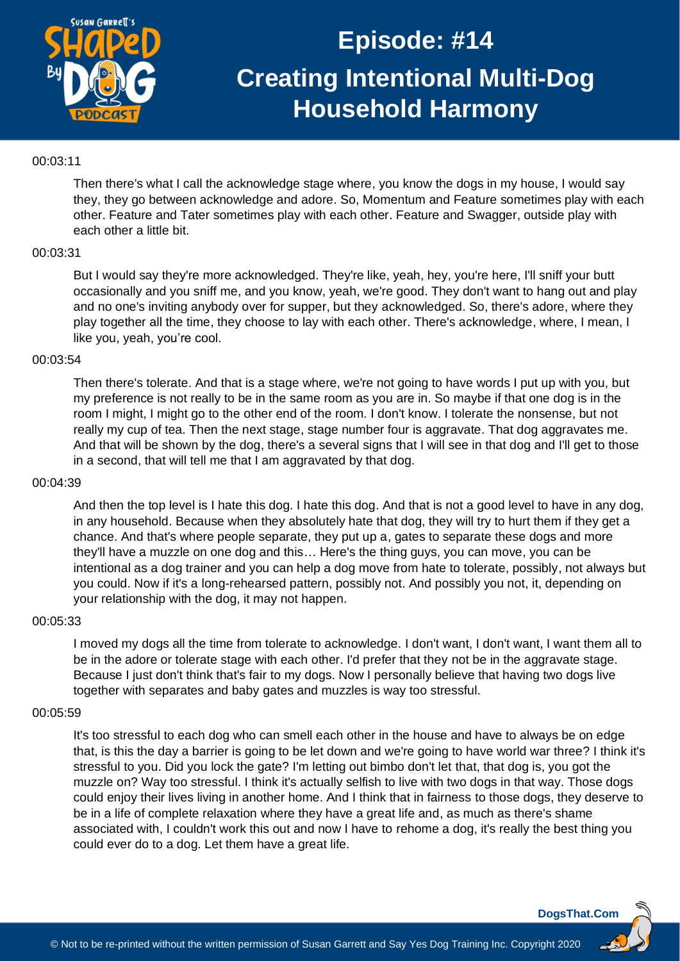

## 00:03:11

Then there's what I call the acknowledge stage where, you know the dogs in my house, I would say they, they go between acknowledge and adore. So, Momentum and Feature sometimes play with each other. Feature and Tater sometimes play with each other. Feature and Swagger, outside play with each other a little bit.

# 00:03:31

But I would say they're more acknowledged. They're like, yeah, hey, you're here, I'll sniff your butt occasionally and you sniff me, and you know, yeah, we're good. They don't want to hang out and play and no one's inviting anybody over for supper, but they acknowledged. So, there's adore, where they play together all the time, they choose to lay with each other. There's acknowledge, where, I mean, I like you, yeah, you're cool.

#### 00:03:54

Then there's tolerate. And that is a stage where, we're not going to have words I put up with you, but my preference is not really to be in the same room as you are in. So maybe if that one dog is in the room I might, I might go to the other end of the room. I don't know. I tolerate the nonsense, but not really my cup of tea. Then the next stage, stage number four is aggravate. That dog aggravates me. And that will be shown by the dog, there's a several signs that I will see in that dog and I'll get to those in a second, that will tell me that I am aggravated by that dog.

#### 00:04:39

And then the top level is I hate this dog. I hate this dog. And that is not a good level to have in any dog, in any household. Because when they absolutely hate that dog, they will try to hurt them if they get a chance. And that's where people separate, they put up a, gates to separate these dogs and more they'll have a muzzle on one dog and this… Here's the thing guys, you can move, you can be intentional as a dog trainer and you can help a dog move from hate to tolerate, possibly, not always but you could. Now if it's a long-rehearsed pattern, possibly not. And possibly you not, it, depending on your relationship with the dog, it may not happen.

#### 00:05:33

I moved my dogs all the time from tolerate to acknowledge. I don't want, I don't want, I want them all to be in the adore or tolerate stage with each other. I'd prefer that they not be in the aggravate stage. Because I just don't think that's fair to my dogs. Now I personally believe that having two dogs live together with separates and baby gates and muzzles is way too stressful.

#### 00:05:59

It's too stressful to each dog who can smell each other in the house and have to always be on edge that, is this the day a barrier is going to be let down and we're going to have world war three? I think it's stressful to you. Did you lock the gate? I'm letting out bimbo don't let that, that dog is, you got the muzzle on? Way too stressful. I think it's actually selfish to live with two dogs in that way. Those dogs could enjoy their lives living in another home. And I think that in fairness to those dogs, they deserve to be in a life of complete relaxation where they have a great life and, as much as there's shame associated with, I couldn't work this out and now I have to rehome a dog, it's really the best thing you could ever do to a dog. Let them have a great life.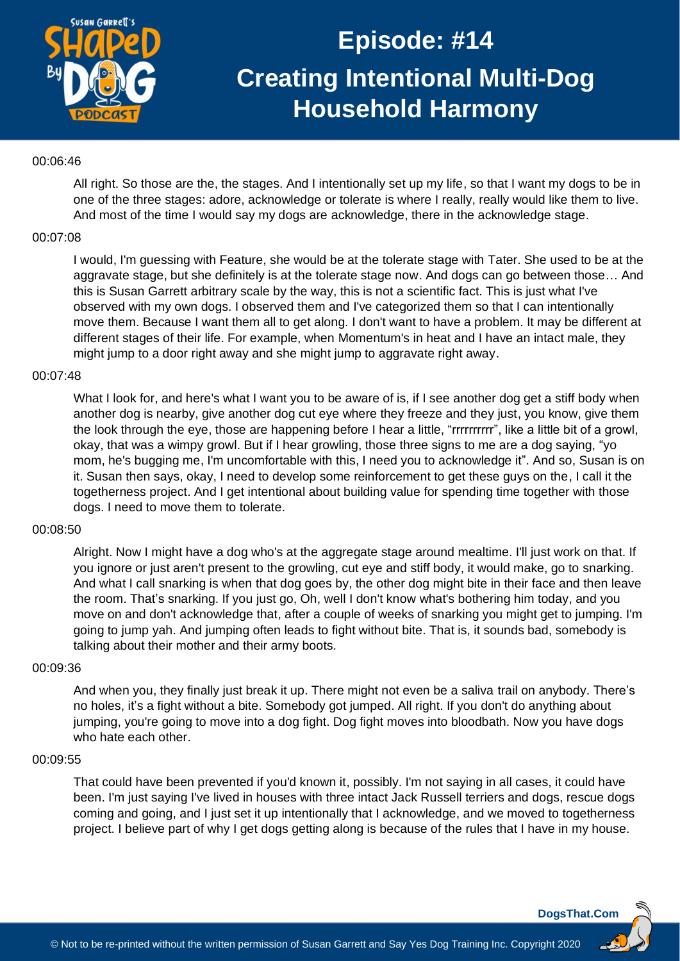

# 00:06:46

All right. So those are the, the stages. And I intentionally set up my life, so that I want my dogs to be in one of the three stages: adore, acknowledge or tolerate is where I really, really would like them to live. And most of the time I would say my dogs are acknowledge, there in the acknowledge stage.

#### 00:07:08

I would, I'm guessing with Feature, she would be at the tolerate stage with Tater. She used to be at the aggravate stage, but she definitely is at the tolerate stage now. And dogs can go between those… And this is Susan Garrett arbitrary scale by the way, this is not a scientific fact. This is just what I've observed with my own dogs. I observed them and I've categorized them so that I can intentionally move them. Because I want them all to get along. I don't want to have a problem. It may be different at different stages of their life. For example, when Momentum's in heat and I have an intact male, they might jump to a door right away and she might jump to aggravate right away.

#### 00:07:48

What I look for, and here's what I want you to be aware of is, if I see another dog get a stiff body when another dog is nearby, give another dog cut eye where they freeze and they just, you know, give them the look through the eye, those are happening before I hear a little, "rrrrrrrrrr", like a little bit of a growl, okay, that was a wimpy growl. But if I hear growling, those three signs to me are a dog saying, "yo mom, he's bugging me, I'm uncomfortable with this, I need you to acknowledge it". And so, Susan is on it. Susan then says, okay, I need to develop some reinforcement to get these guys on the, I call it the togetherness project. And I get intentional about building value for spending time together with those dogs. I need to move them to tolerate.

#### 00:08:50

Alright. Now I might have a dog who's at the aggregate stage around mealtime. I'll just work on that. If you ignore or just aren't present to the growling, cut eye and stiff body, it would make, go to snarking. And what I call snarking is when that dog goes by, the other dog might bite in their face and then leave the room. That's snarking. If you just go, Oh, well I don't know what's bothering him today, and you move on and don't acknowledge that, after a couple of weeks of snarking you might get to jumping. I'm going to jump yah. And jumping often leads to fight without bite. That is, it sounds bad, somebody is talking about their mother and their army boots.

#### 00:09:36

And when you, they finally just break it up. There might not even be a saliva trail on anybody. There's no holes, it's a fight without a bite. Somebody got jumped. All right. If you don't do anything about jumping, you're going to move into a dog fight. Dog fight moves into bloodbath. Now you have dogs who hate each other.

#### 00:09:55

That could have been prevented if you'd known it, possibly. I'm not saying in all cases, it could have been. I'm just saying I've lived in houses with three intact Jack Russell terriers and dogs, rescue dogs coming and going, and I just set it up intentionally that I acknowledge, and we moved to togetherness project. I believe part of why I get dogs getting along is because of the rules that I have in my house.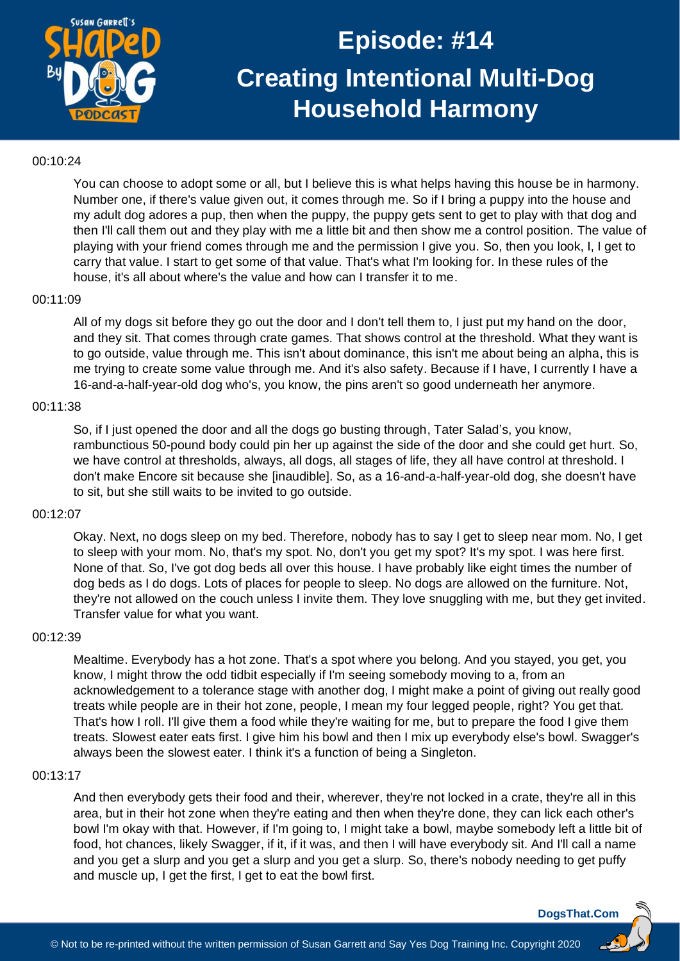

## 00:10:24

You can choose to adopt some or all, but I believe this is what helps having this house be in harmony. Number one, if there's value given out, it comes through me. So if I bring a puppy into the house and my adult dog adores a pup, then when the puppy, the puppy gets sent to get to play with that dog and then I'll call them out and they play with me a little bit and then show me a control position. The value of playing with your friend comes through me and the permission I give you. So, then you look, I, I get to carry that value. I start to get some of that value. That's what I'm looking for. In these rules of the house, it's all about where's the value and how can I transfer it to me.

#### 00:11:09

All of my dogs sit before they go out the door and I don't tell them to, I just put my hand on the door, and they sit. That comes through crate games. That shows control at the threshold. What they want is to go outside, value through me. This isn't about dominance, this isn't me about being an alpha, this is me trying to create some value through me. And it's also safety. Because if I have, I currently I have a 16-and-a-half-year-old dog who's, you know, the pins aren't so good underneath her anymore.

# 00:11:38

So, if I just opened the door and all the dogs go busting through, Tater Salad's, you know, rambunctious 50-pound body could pin her up against the side of the door and she could get hurt. So, we have control at thresholds, always, all dogs, all stages of life, they all have control at threshold. I don't make Encore sit because she [inaudible]. So, as a 16-and-a-half-year-old dog, she doesn't have to sit, but she still waits to be invited to go outside.

#### 00:12:07

Okay. Next, no dogs sleep on my bed. Therefore, nobody has to say I get to sleep near mom. No, I get to sleep with your mom. No, that's my spot. No, don't you get my spot? It's my spot. I was here first. None of that. So, I've got dog beds all over this house. I have probably like eight times the number of dog beds as I do dogs. Lots of places for people to sleep. No dogs are allowed on the furniture. Not, they're not allowed on the couch unless I invite them. They love snuggling with me, but they get invited. Transfer value for what you want.

#### 00:12:39

Mealtime. Everybody has a hot zone. That's a spot where you belong. And you stayed, you get, you know, I might throw the odd tidbit especially if I'm seeing somebody moving to a, from an acknowledgement to a tolerance stage with another dog, I might make a point of giving out really good treats while people are in their hot zone, people, I mean my four legged people, right? You get that. That's how I roll. I'll give them a food while they're waiting for me, but to prepare the food I give them treats. Slowest eater eats first. I give him his bowl and then I mix up everybody else's bowl. Swagger's always been the slowest eater. I think it's a function of being a Singleton.

#### 00:13:17

And then everybody gets their food and their, wherever, they're not locked in a crate, they're all in this area, but in their hot zone when they're eating and then when they're done, they can lick each other's bowl I'm okay with that. However, if I'm going to, I might take a bowl, maybe somebody left a little bit of food, hot chances, likely Swagger, if it, if it was, and then I will have everybody sit. And I'll call a name and you get a slurp and you get a slurp and you get a slurp. So, there's nobody needing to get puffy and muscle up, I get the first, I get to eat the bowl first.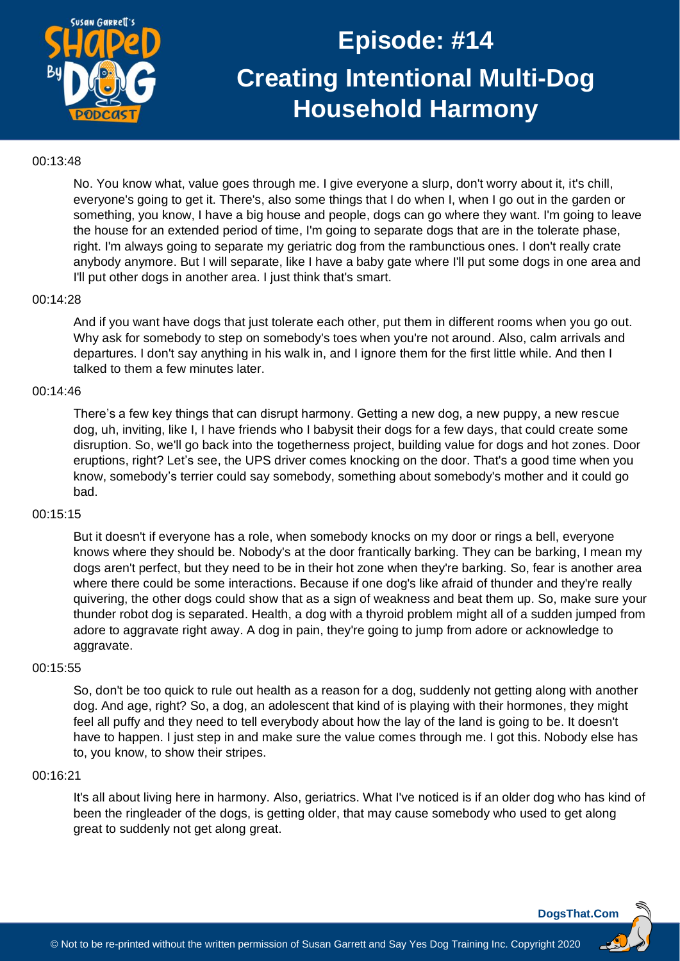

## 00:13:48

No. You know what, value goes through me. I give everyone a slurp, don't worry about it, it's chill, everyone's going to get it. There's, also some things that I do when I, when I go out in the garden or something, you know, I have a big house and people, dogs can go where they want. I'm going to leave the house for an extended period of time, I'm going to separate dogs that are in the tolerate phase, right. I'm always going to separate my geriatric dog from the rambunctious ones. I don't really crate anybody anymore. But I will separate, like I have a baby gate where I'll put some dogs in one area and I'll put other dogs in another area. I just think that's smart.

#### 00:14:28

And if you want have dogs that just tolerate each other, put them in different rooms when you go out. Why ask for somebody to step on somebody's toes when you're not around. Also, calm arrivals and departures. I don't say anything in his walk in, and I ignore them for the first little while. And then I talked to them a few minutes later.

#### 00:14:46

There's a few key things that can disrupt harmony. Getting a new dog, a new puppy, a new rescue dog, uh, inviting, like I, I have friends who I babysit their dogs for a few days, that could create some disruption. So, we'll go back into the togetherness project, building value for dogs and hot zones. Door eruptions, right? Let's see, the UPS driver comes knocking on the door. That's a good time when you know, somebody's terrier could say somebody, something about somebody's mother and it could go bad.

#### 00:15:15

But it doesn't if everyone has a role, when somebody knocks on my door or rings a bell, everyone knows where they should be. Nobody's at the door frantically barking. They can be barking, I mean my dogs aren't perfect, but they need to be in their hot zone when they're barking. So, fear is another area where there could be some interactions. Because if one dog's like afraid of thunder and they're really quivering, the other dogs could show that as a sign of weakness and beat them up. So, make sure your thunder robot dog is separated. Health, a dog with a thyroid problem might all of a sudden jumped from adore to aggravate right away. A dog in pain, they're going to jump from adore or acknowledge to aggravate.

#### 00:15:55

So, don't be too quick to rule out health as a reason for a dog, suddenly not getting along with another dog. And age, right? So, a dog, an adolescent that kind of is playing with their hormones, they might feel all puffy and they need to tell everybody about how the lay of the land is going to be. It doesn't have to happen. I just step in and make sure the value comes through me. I got this. Nobody else has to, you know, to show their stripes.

#### 00:16:21

It's all about living here in harmony. Also, geriatrics. What I've noticed is if an older dog who has kind of been the ringleader of the dogs, is getting older, that may cause somebody who used to get along great to suddenly not get along great.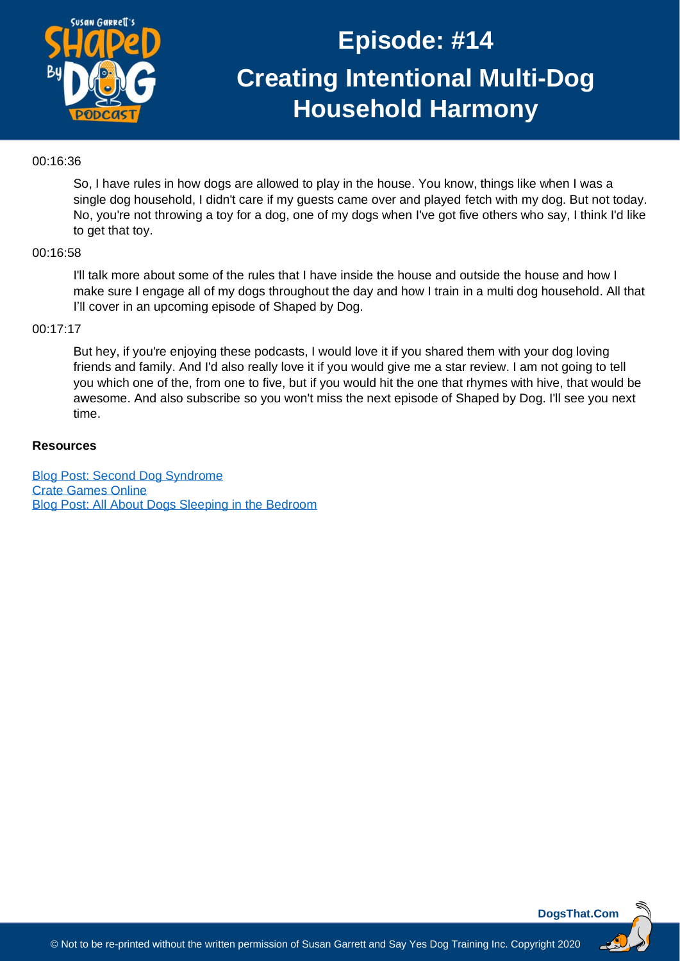

## 00:16:36

So, I have rules in how dogs are allowed to play in the house. You know, things like when I was a single dog household, I didn't care if my guests came over and played fetch with my dog. But not today. No, you're not throwing a toy for a dog, one of my dogs when I've got five others who say, I think I'd like to get that toy.

### 00:16:58

I'll talk more about some of the rules that I have inside the house and outside the house and how I make sure I engage all of my dogs throughout the day and how I train in a multi dog household. All that I'll cover in an upcoming episode of Shaped by Dog.

#### 00:17:17

But hey, if you're enjoying these podcasts, I would love it if you shared them with your dog loving friends and family. And I'd also really love it if you would give me a star review. I am not going to tell you which one of the, from one to five, but if you would hit the one that rhymes with hive, that would be awesome. And also subscribe so you won't miss the next episode of Shaped by Dog. I'll see you next time.

### **Resources**

[Blog Post: Second Dog Syndrome](https://susangarrettdogagility.com/2010/02/second-dog-syndrome/) [Crate Games Online](https://get.crategames.com/) [Blog Post: All About Dogs Sleeping in the Bedroom](https://susangarrettdogagility.com/2020/03/dogs-sleeping-in-the-bedroom/)